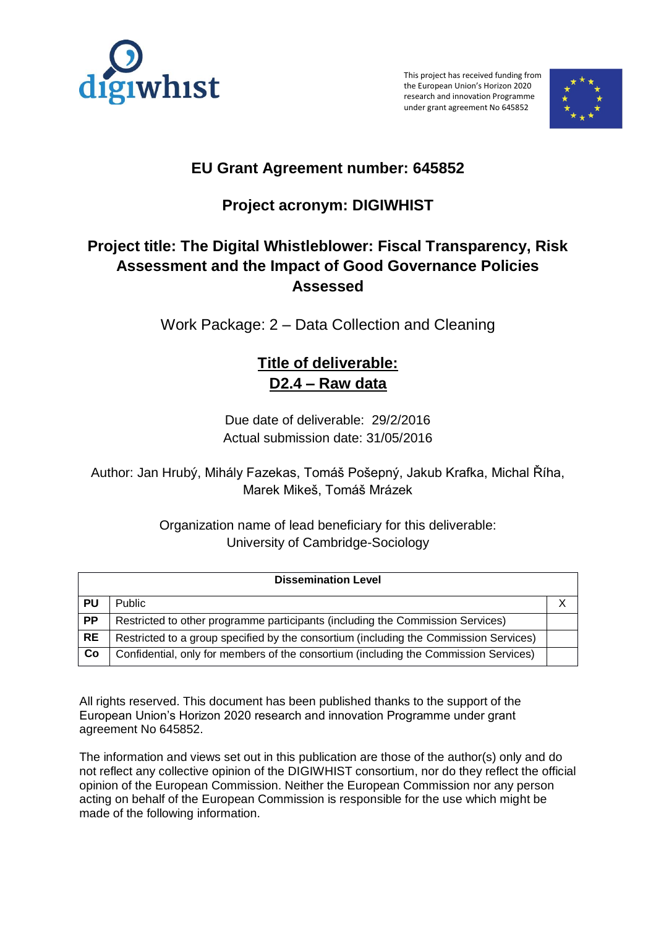

This project has received funding from the European Union's Horizon 2020 research and innovation Programme under grant agreement No 645852



# **EU Grant Agreement number: 645852**

# **Project acronym: DIGIWHIST**

## **Project title: The Digital Whistleblower: Fiscal Transparency, Risk Assessment and the Impact of Good Governance Policies Assessed**

Work Package: 2 – Data Collection and Cleaning

## **Title of deliverable: D2.4 – Raw data**

Due date of deliverable: 29/2/2016 Actual submission date: 31/05/2016

Author: Jan Hrubý, Mihály Fazekas, Tomáš Pošepný, Jakub Krafka, Michal Říha, Marek Mikeš, Tomáš Mrázek

> Organization name of lead beneficiary for this deliverable: University of Cambridge-Sociology

| <b>Dissemination Level</b> |                                                                                       |  |  |  |
|----------------------------|---------------------------------------------------------------------------------------|--|--|--|
| PU                         | <b>Public</b>                                                                         |  |  |  |
| <b>PP</b>                  | Restricted to other programme participants (including the Commission Services)        |  |  |  |
| <b>RE</b>                  | Restricted to a group specified by the consortium (including the Commission Services) |  |  |  |
| Co                         | Confidential, only for members of the consortium (including the Commission Services)  |  |  |  |

All rights reserved. This document has been published thanks to the support of the European Union's Horizon 2020 research and innovation Programme under grant agreement No 645852.

The information and views set out in this publication are those of the author(s) only and do not reflect any collective opinion of the DIGIWHIST consortium, nor do they reflect the official opinion of the European Commission. Neither the European Commission nor any person acting on behalf of the European Commission is responsible for the use which might be made of the following information.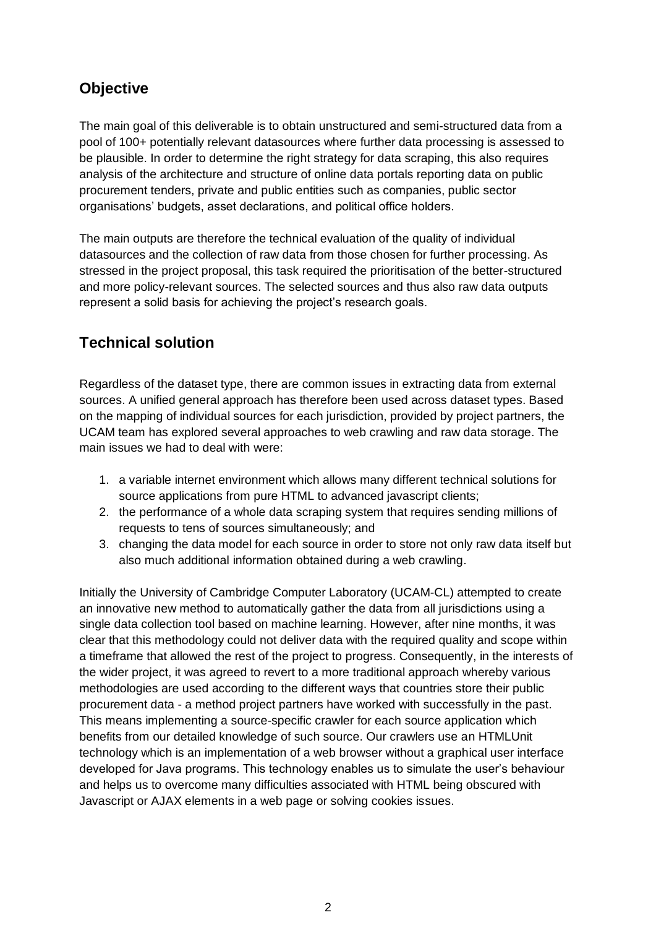## **Objective**

The main goal of this deliverable is to obtain unstructured and semi-structured data from a pool of 100+ potentially relevant datasources where further data processing is assessed to be plausible. In order to determine the right strategy for data scraping, this also requires analysis of the architecture and structure of online data portals reporting data on public procurement tenders, private and public entities such as companies, public sector organisations' budgets, asset declarations, and political office holders.

The main outputs are therefore the technical evaluation of the quality of individual datasources and the collection of raw data from those chosen for further processing. As stressed in the project proposal, this task required the prioritisation of the better-structured and more policy-relevant sources. The selected sources and thus also raw data outputs represent a solid basis for achieving the project's research goals.

## **Technical solution**

Regardless of the dataset type, there are common issues in extracting data from external sources. A unified general approach has therefore been used across dataset types. Based on the mapping of individual sources for each jurisdiction, provided by project partners, the UCAM team has explored several approaches to web crawling and raw data storage. The main issues we had to deal with were:

- 1. a variable internet environment which allows many different technical solutions for source applications from pure HTML to advanced javascript clients;
- 2. the performance of a whole data scraping system that requires sending millions of requests to tens of sources simultaneously; and
- 3. changing the data model for each source in order to store not only raw data itself but also much additional information obtained during a web crawling.

Initially the University of Cambridge Computer Laboratory (UCAM-CL) attempted to create an innovative new method to automatically gather the data from all jurisdictions using a single data collection tool based on machine learning. However, after nine months, it was clear that this methodology could not deliver data with the required quality and scope within a timeframe that allowed the rest of the project to progress. Consequently, in the interests of the wider project, it was agreed to revert to a more traditional approach whereby various methodologies are used according to the different ways that countries store their public procurement data - a method project partners have worked with successfully in the past. This means implementing a source-specific crawler for each source application which benefits from our detailed knowledge of such source. Our crawlers use an HTMLUnit technology which is an implementation of a web browser without a graphical user interface developed for Java programs. This technology enables us to simulate the user's behaviour and helps us to overcome many difficulties associated with HTML being obscured with Javascript or AJAX elements in a web page or solving cookies issues.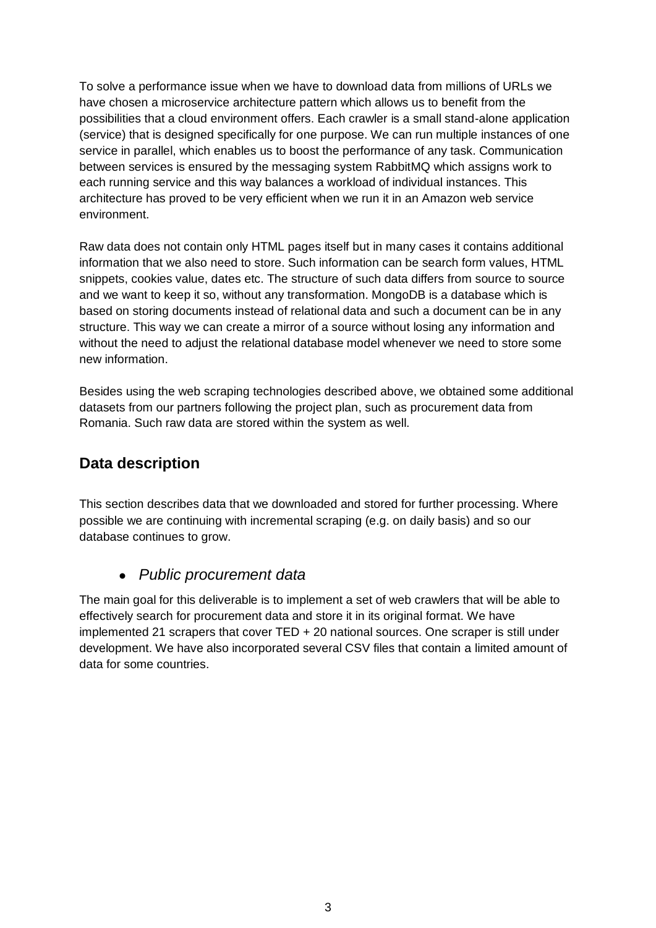To solve a performance issue when we have to download data from millions of URLs we have chosen a microservice architecture pattern which allows us to benefit from the possibilities that a cloud environment offers. Each crawler is a small stand-alone application (service) that is designed specifically for one purpose. We can run multiple instances of one service in parallel, which enables us to boost the performance of any task. Communication between services is ensured by the messaging system RabbitMQ which assigns work to each running service and this way balances a workload of individual instances. This architecture has proved to be very efficient when we run it in an Amazon web service environment.

Raw data does not contain only HTML pages itself but in many cases it contains additional information that we also need to store. Such information can be search form values, HTML snippets, cookies value, dates etc. The structure of such data differs from source to source and we want to keep it so, without any transformation. MongoDB is a database which is based on storing documents instead of relational data and such a document can be in any structure. This way we can create a mirror of a source without losing any information and without the need to adjust the relational database model whenever we need to store some new information.

Besides using the web scraping technologies described above, we obtained some additional datasets from our partners following the project plan, such as procurement data from Romania. Such raw data are stored within the system as well.

## **Data description**

This section describes data that we downloaded and stored for further processing. Where possible we are continuing with incremental scraping (e.g. on daily basis) and so our database continues to grow.

### *Public procurement data*

The main goal for this deliverable is to implement a set of web crawlers that will be able to effectively search for procurement data and store it in its original format. We have implemented 21 scrapers that cover TED + 20 national sources. One scraper is still under development. We have also incorporated several CSV files that contain a limited amount of data for some countries.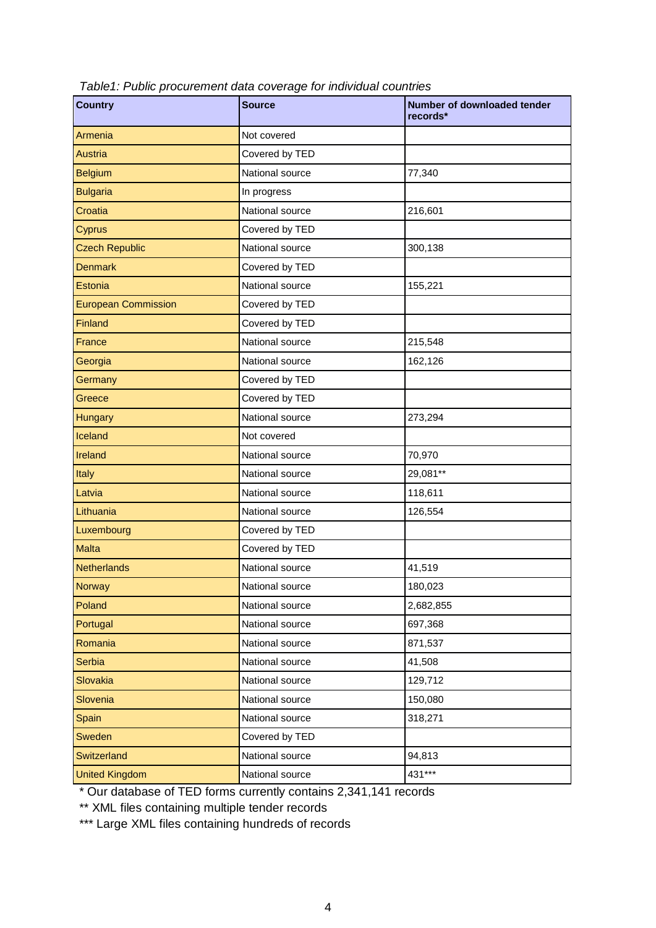| <b>Country</b>             | <b>Source</b>   | Number of downloaded tender<br>records* |
|----------------------------|-----------------|-----------------------------------------|
| Armenia                    | Not covered     |                                         |
| <b>Austria</b>             | Covered by TED  |                                         |
| <b>Belgium</b>             | National source | 77,340                                  |
| <b>Bulgaria</b>            | In progress     |                                         |
| Croatia                    | National source | 216,601                                 |
| Cyprus                     | Covered by TED  |                                         |
| <b>Czech Republic</b>      | National source | 300,138                                 |
| <b>Denmark</b>             | Covered by TED  |                                         |
| Estonia                    | National source | 155,221                                 |
| <b>European Commission</b> | Covered by TED  |                                         |
| Finland                    | Covered by TED  |                                         |
| France                     | National source | 215,548                                 |
| Georgia                    | National source | 162,126                                 |
| Germany                    | Covered by TED  |                                         |
| Greece                     | Covered by TED  |                                         |
| <b>Hungary</b>             | National source | 273,294                                 |
| Iceland                    | Not covered     |                                         |
| Ireland                    | National source | 70,970                                  |
| Italy                      | National source | 29,081**                                |
| Latvia                     | National source | 118,611                                 |
| Lithuania                  | National source | 126,554                                 |
| Luxembourg                 | Covered by TED  |                                         |
| <b>Malta</b>               | Covered by TED  |                                         |
| <b>Netherlands</b>         | National source | 41,519                                  |
| Norway                     | National source | 180,023                                 |
| Poland                     | National source | 2,682,855                               |
| Portugal                   | National source | 697,368                                 |
| Romania                    | National source | 871,537                                 |
| Serbia                     | National source | 41,508                                  |
| Slovakia                   | National source | 129,712                                 |
| Slovenia                   | National source | 150,080                                 |
| Spain                      | National source | 318,271                                 |
| Sweden                     | Covered by TED  |                                         |
| Switzerland                | National source | 94,813                                  |
| <b>United Kingdom</b>      | National source | 431***                                  |

*Table1: Public procurement data coverage for individual countries*

\* Our database of TED forms currently contains 2,341,141 records

\*\* XML files containing multiple tender records

\*\*\* Large XML files containing hundreds of records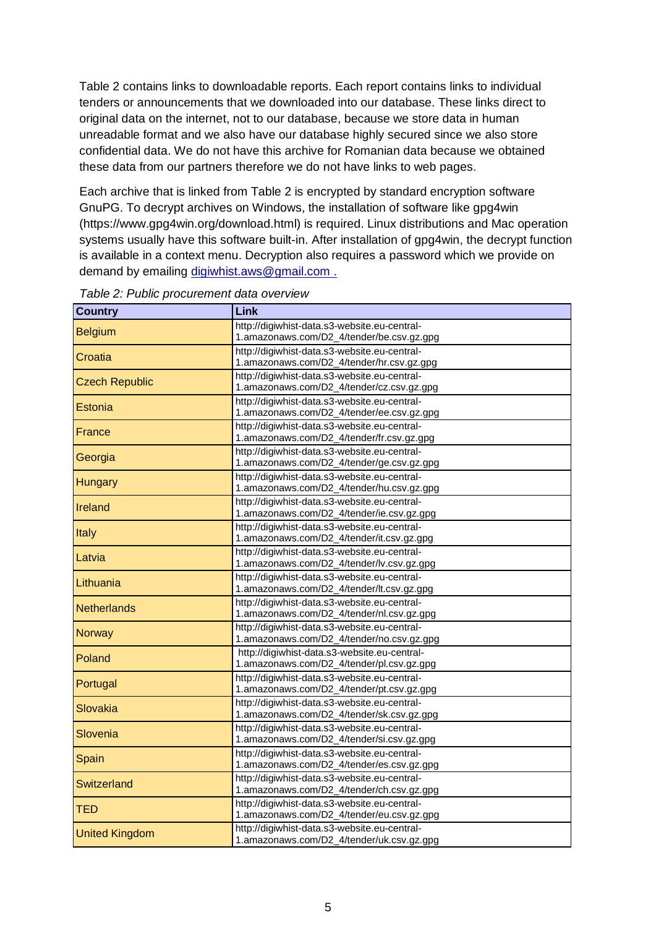Table 2 contains links to downloadable reports. Each report contains links to individual tenders or announcements that we downloaded into our database. These links direct to original data on the internet, not to our database, because we store data in human unreadable format and we also have our database highly secured since we also store confidential data. We do not have this archive for Romanian data because we obtained these data from our partners therefore we do not have links to web pages.

Each archive that is linked from Table 2 is encrypted by standard encryption software GnuPG. To decrypt archives on Windows, the installation of software like gpg4win (https://www.gpg4win.org/download.html) is required. Linux distributions and Mac operation systems usually have this software built-in. After installation of gpg4win, the decrypt function is available in a context menu. Decryption also requires a password which we provide on demand by emailing digiwhist.aws@gmail.com .

| <b>Country</b>        | Link                                         |  |  |  |
|-----------------------|----------------------------------------------|--|--|--|
| <b>Belgium</b>        | http://digiwhist-data.s3-website.eu-central- |  |  |  |
|                       | 1.amazonaws.com/D2_4/tender/be.csv.gz.gpg    |  |  |  |
| Croatia               | http://digiwhist-data.s3-website.eu-central- |  |  |  |
|                       | 1.amazonaws.com/D2_4/tender/hr.csv.gz.gpg    |  |  |  |
| <b>Czech Republic</b> | http://digiwhist-data.s3-website.eu-central- |  |  |  |
|                       | 1.amazonaws.com/D2_4/tender/cz.csv.gz.gpg    |  |  |  |
| Estonia               | http://digiwhist-data.s3-website.eu-central- |  |  |  |
|                       | 1.amazonaws.com/D2_4/tender/ee.csv.gz.gpg    |  |  |  |
| France                | http://digiwhist-data.s3-website.eu-central- |  |  |  |
|                       | 1.amazonaws.com/D2_4/tender/fr.csv.gz.gpg    |  |  |  |
| Georgia               | http://digiwhist-data.s3-website.eu-central- |  |  |  |
|                       | 1.amazonaws.com/D2_4/tender/ge.csv.gz.gpg    |  |  |  |
| <b>Hungary</b>        | http://digiwhist-data.s3-website.eu-central- |  |  |  |
|                       | 1.amazonaws.com/D2_4/tender/hu.csv.gz.gpg    |  |  |  |
| Ireland               | http://digiwhist-data.s3-website.eu-central- |  |  |  |
|                       | 1.amazonaws.com/D2_4/tender/ie.csv.gz.gpg    |  |  |  |
| Italy                 | http://digiwhist-data.s3-website.eu-central- |  |  |  |
|                       | 1.amazonaws.com/D2_4/tender/it.csv.gz.gpg    |  |  |  |
| Latvia                | http://digiwhist-data.s3-website.eu-central- |  |  |  |
|                       | 1.amazonaws.com/D2_4/tender/lv.csv.gz.gpg    |  |  |  |
| Lithuania             | http://digiwhist-data.s3-website.eu-central- |  |  |  |
|                       | 1.amazonaws.com/D2_4/tender/lt.csv.gz.gpg    |  |  |  |
| <b>Netherlands</b>    | http://digiwhist-data.s3-website.eu-central- |  |  |  |
|                       | 1.amazonaws.com/D2_4/tender/nl.csv.gz.gpg    |  |  |  |
| <b>Norway</b>         | http://digiwhist-data.s3-website.eu-central- |  |  |  |
|                       | 1.amazonaws.com/D2_4/tender/no.csv.gz.gpg    |  |  |  |
| Poland                | http://digiwhist-data.s3-website.eu-central- |  |  |  |
|                       | 1.amazonaws.com/D2_4/tender/pl.csv.gz.gpg    |  |  |  |
| Portugal              | http://digiwhist-data.s3-website.eu-central- |  |  |  |
|                       | 1.amazonaws.com/D2_4/tender/pt.csv.gz.gpg    |  |  |  |
| Slovakia              | http://digiwhist-data.s3-website.eu-central- |  |  |  |
|                       | 1.amazonaws.com/D2_4/tender/sk.csv.gz.gpg    |  |  |  |
| Slovenia              | http://digiwhist-data.s3-website.eu-central- |  |  |  |
|                       | 1.amazonaws.com/D2_4/tender/si.csv.gz.gpg    |  |  |  |
| Spain                 | http://digiwhist-data.s3-website.eu-central- |  |  |  |
|                       | 1.amazonaws.com/D2_4/tender/es.csv.gz.gpg    |  |  |  |
| Switzerland           | http://digiwhist-data.s3-website.eu-central- |  |  |  |
|                       | 1.amazonaws.com/D2_4/tender/ch.csv.gz.gpg    |  |  |  |
| <b>TED</b>            | http://digiwhist-data.s3-website.eu-central- |  |  |  |
|                       | 1.amazonaws.com/D2_4/tender/eu.csv.gz.gpg    |  |  |  |
| <b>United Kingdom</b> | http://digiwhist-data.s3-website.eu-central- |  |  |  |
|                       | 1.amazonaws.com/D2_4/tender/uk.csv.gz.gpg    |  |  |  |

*Table 2: Public procurement data overview*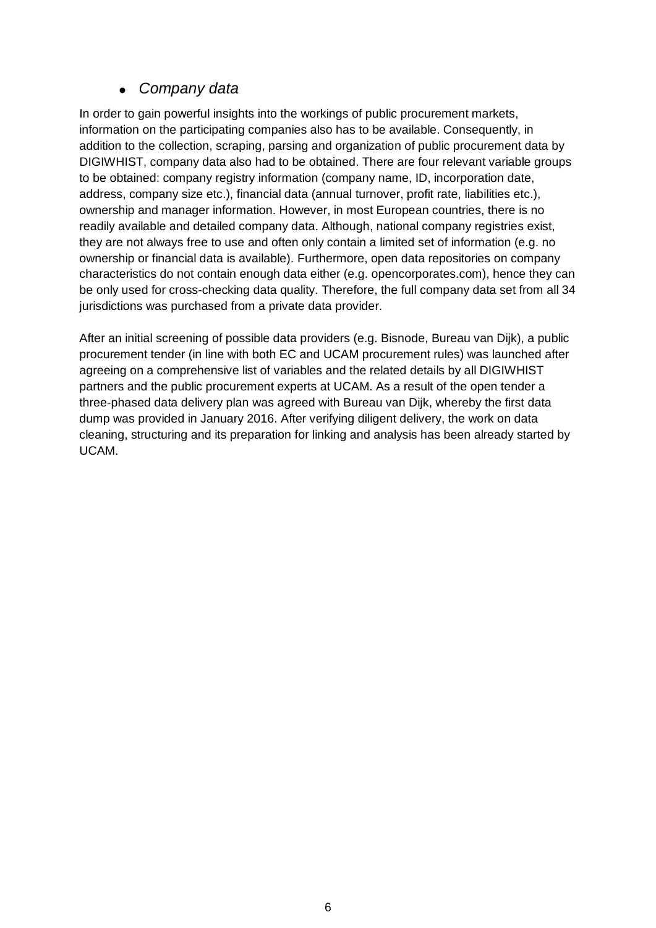## *Company data*

In order to gain powerful insights into the workings of public procurement markets, information on the participating companies also has to be available. Consequently, in addition to the collection, scraping, parsing and organization of public procurement data by DIGIWHIST, company data also had to be obtained. There are four relevant variable groups to be obtained: company registry information (company name, ID, incorporation date, address, company size etc.), financial data (annual turnover, profit rate, liabilities etc.), ownership and manager information. However, in most European countries, there is no readily available and detailed company data. Although, national company registries exist, they are not always free to use and often only contain a limited set of information (e.g. no ownership or financial data is available). Furthermore, open data repositories on company characteristics do not contain enough data either (e.g. opencorporates.com), hence they can be only used for cross-checking data quality. Therefore, the full company data set from all 34 jurisdictions was purchased from a private data provider.

After an initial screening of possible data providers (e.g. Bisnode, Bureau van Dijk), a public procurement tender (in line with both EC and UCAM procurement rules) was launched after agreeing on a comprehensive list of variables and the related details by all DIGIWHIST partners and the public procurement experts at UCAM. As a result of the open tender a three-phased data delivery plan was agreed with Bureau van Dijk, whereby the first data dump was provided in January 2016. After verifying diligent delivery, the work on data cleaning, structuring and its preparation for linking and analysis has been already started by UCAM.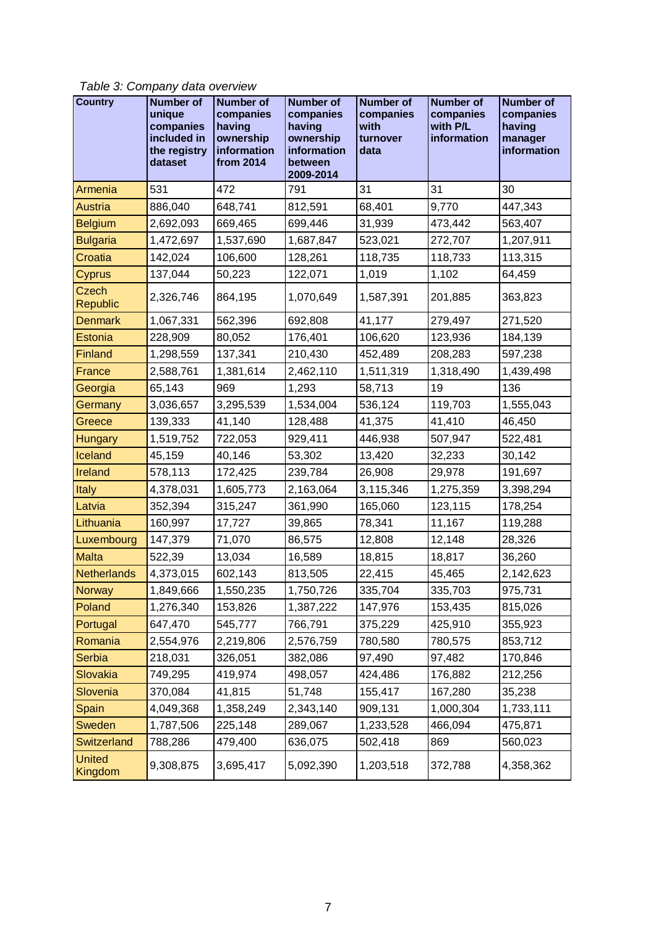*Table 3: Company data overview*

| <b>Country</b>           | <b>Number of</b><br>unique<br>companies<br>included in<br>the registry<br>dataset | <b>Number of</b><br>companies<br>having<br>ownership<br>information<br>from 2014 | <b>Number of</b><br>companies<br>having<br>ownership<br>information<br>between<br>2009-2014 | <b>Number of</b><br>companies<br>with<br>turnover<br>data | <b>Number of</b><br>companies<br>with P/L<br>information | <b>Number of</b><br>companies<br>having<br>manager<br>information |
|--------------------------|-----------------------------------------------------------------------------------|----------------------------------------------------------------------------------|---------------------------------------------------------------------------------------------|-----------------------------------------------------------|----------------------------------------------------------|-------------------------------------------------------------------|
| Armenia                  | 531                                                                               | 472                                                                              | 791                                                                                         | 31                                                        | 31                                                       | 30                                                                |
| <b>Austria</b>           | 886,040                                                                           | 648,741                                                                          | 812,591                                                                                     | 68,401                                                    | 9,770                                                    | 447,343                                                           |
| <b>Belgium</b>           | 2,692,093                                                                         | 669,465                                                                          | 699,446                                                                                     | 31,939                                                    | 473,442                                                  | 563,407                                                           |
| <b>Bulgaria</b>          | 1,472,697                                                                         | 1,537,690                                                                        | 1,687,847                                                                                   | 523,021                                                   | 272,707                                                  | 1,207,911                                                         |
| Croatia                  | 142,024                                                                           | 106,600                                                                          | 128,261                                                                                     | 118,735                                                   | 118,733                                                  | 113,315                                                           |
| Cyprus                   | 137,044                                                                           | 50,223                                                                           | 122,071                                                                                     | 1,019                                                     | 1,102                                                    | 64,459                                                            |
| Czech<br>Republic        | 2,326,746                                                                         | 864,195                                                                          | 1,070,649                                                                                   | 1,587,391                                                 | 201,885                                                  | 363,823                                                           |
| <b>Denmark</b>           | 1,067,331                                                                         | 562,396                                                                          | 692,808                                                                                     | 41,177                                                    | 279,497                                                  | 271,520                                                           |
| Estonia                  | 228,909                                                                           | 80,052                                                                           | 176,401                                                                                     | 106,620                                                   | 123,936                                                  | 184,139                                                           |
| Finland                  | 1,298,559                                                                         | 137,341                                                                          | 210,430                                                                                     | 452,489                                                   | 208,283                                                  | 597,238                                                           |
| France                   | 2,588,761                                                                         | 1,381,614                                                                        | 2,462,110                                                                                   | 1,511,319                                                 | 1,318,490                                                | 1,439,498                                                         |
| Georgia                  | 65,143                                                                            | 969                                                                              | 1,293                                                                                       | 58,713                                                    | 19                                                       | 136                                                               |
| Germany                  | 3,036,657                                                                         | 3,295,539                                                                        | 1,534,004                                                                                   | 536,124                                                   | 119,703                                                  | 1,555,043                                                         |
| Greece                   | 139,333                                                                           | 41,140                                                                           | 128,488                                                                                     | 41,375                                                    | 41,410                                                   | 46,450                                                            |
| Hungary                  | 1,519,752                                                                         | 722,053                                                                          | 929,411                                                                                     | 446,938                                                   | 507,947                                                  | 522,481                                                           |
| Iceland                  | 45,159                                                                            | 40,146                                                                           | 53,302                                                                                      | 13,420                                                    | 32,233                                                   | 30,142                                                            |
| Ireland                  | 578,113                                                                           | 172,425                                                                          | 239,784                                                                                     | 26,908                                                    | 29,978                                                   | 191,697                                                           |
| Italy                    | 4,378,031                                                                         | 1,605,773                                                                        | 2,163,064                                                                                   | 3,115,346                                                 | 1,275,359                                                | 3,398,294                                                         |
| Latvia                   | 352,394                                                                           | 315,247                                                                          | 361,990                                                                                     | 165,060                                                   | 123,115                                                  | 178,254                                                           |
| Lithuania                | 160,997                                                                           | 17,727                                                                           | 39,865                                                                                      | 78,341                                                    | 11,167                                                   | 119,288                                                           |
| Luxembourg               | 147,379                                                                           | 71,070                                                                           | 86,575                                                                                      | 12,808                                                    | 12,148                                                   | 28,326                                                            |
| <b>Malta</b>             | 522,39                                                                            | 13,034                                                                           | 16,589                                                                                      | 18,815                                                    | 18,817                                                   | 36,260                                                            |
| Netherlands              | 4,373,015                                                                         | 602,143                                                                          | 813,505                                                                                     | 22,415                                                    | 45,465                                                   | 2,142,623                                                         |
| Norway                   | 1,849,666                                                                         | 1,550,235                                                                        | 1,750,726                                                                                   | 335,704                                                   | 335,703                                                  | 975,731                                                           |
| Poland                   | 1,276,340                                                                         | 153,826                                                                          | 1,387,222                                                                                   | 147,976                                                   | 153,435                                                  | 815,026                                                           |
| Portugal                 | 647,470                                                                           | 545,777                                                                          | 766,791                                                                                     | 375,229                                                   | 425,910                                                  | 355,923                                                           |
| Romania                  | 2,554,976                                                                         | 2,219,806                                                                        | 2,576,759                                                                                   | 780,580                                                   | 780,575                                                  | 853,712                                                           |
| Serbia                   | 218,031                                                                           | 326,051                                                                          | 382,086                                                                                     | 97,490                                                    | 97,482                                                   | 170,846                                                           |
| Slovakia                 | 749,295                                                                           | 419,974                                                                          | 498,057                                                                                     | 424,486                                                   | 176,882                                                  | 212,256                                                           |
| Slovenia                 | 370,084                                                                           | 41,815                                                                           | 51,748                                                                                      | 155,417                                                   | 167,280                                                  | 35,238                                                            |
| Spain                    | 4,049,368                                                                         | 1,358,249                                                                        | 2,343,140                                                                                   | 909,131                                                   | 1,000,304                                                | 1,733,111                                                         |
| <b>Sweden</b>            | 1,787,506                                                                         | 225,148                                                                          | 289,067                                                                                     | 1,233,528                                                 | 466,094                                                  | 475,871                                                           |
| <b>Switzerland</b>       | 788,286                                                                           | 479,400                                                                          | 636,075                                                                                     | 502,418                                                   | 869                                                      | 560,023                                                           |
| <b>United</b><br>Kingdom | 9,308,875                                                                         | 3,695,417                                                                        | 5,092,390                                                                                   | 1,203,518                                                 | 372,788                                                  | 4,358,362                                                         |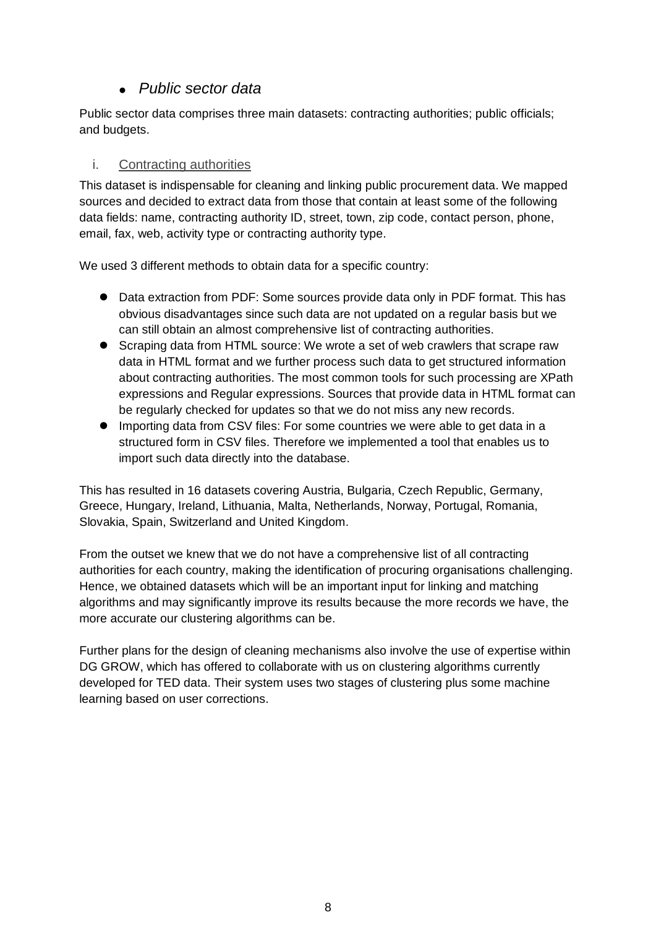### *Public sector data*

Public sector data comprises three main datasets: contracting authorities; public officials; and budgets.

#### i. Contracting authorities

This dataset is indispensable for cleaning and linking public procurement data. We mapped sources and decided to extract data from those that contain at least some of the following data fields: name, contracting authority ID, street, town, zip code, contact person, phone, email, fax, web, activity type or contracting authority type.

We used 3 different methods to obtain data for a specific country:

- Data extraction from PDF: Some sources provide data only in PDF format. This has obvious disadvantages since such data are not updated on a regular basis but we can still obtain an almost comprehensive list of contracting authorities.
- Scraping data from HTML source: We wrote a set of web crawlers that scrape raw data in HTML format and we further process such data to get structured information about contracting authorities. The most common tools for such processing are XPath expressions and Regular expressions. Sources that provide data in HTML format can be regularly checked for updates so that we do not miss any new records.
- Importing data from CSV files: For some countries we were able to get data in a structured form in CSV files. Therefore we implemented a tool that enables us to import such data directly into the database.

This has resulted in 16 datasets covering Austria, Bulgaria, Czech Republic, Germany, Greece, Hungary, Ireland, Lithuania, Malta, Netherlands, Norway, Portugal, Romania, Slovakia, Spain, Switzerland and United Kingdom.

From the outset we knew that we do not have a comprehensive list of all contracting authorities for each country, making the identification of procuring organisations challenging. Hence, we obtained datasets which will be an important input for linking and matching algorithms and may significantly improve its results because the more records we have, the more accurate our clustering algorithms can be.

Further plans for the design of cleaning mechanisms also involve the use of expertise within DG GROW, which has offered to collaborate with us on clustering algorithms currently developed for TED data. Their system uses two stages of clustering plus some machine learning based on user corrections.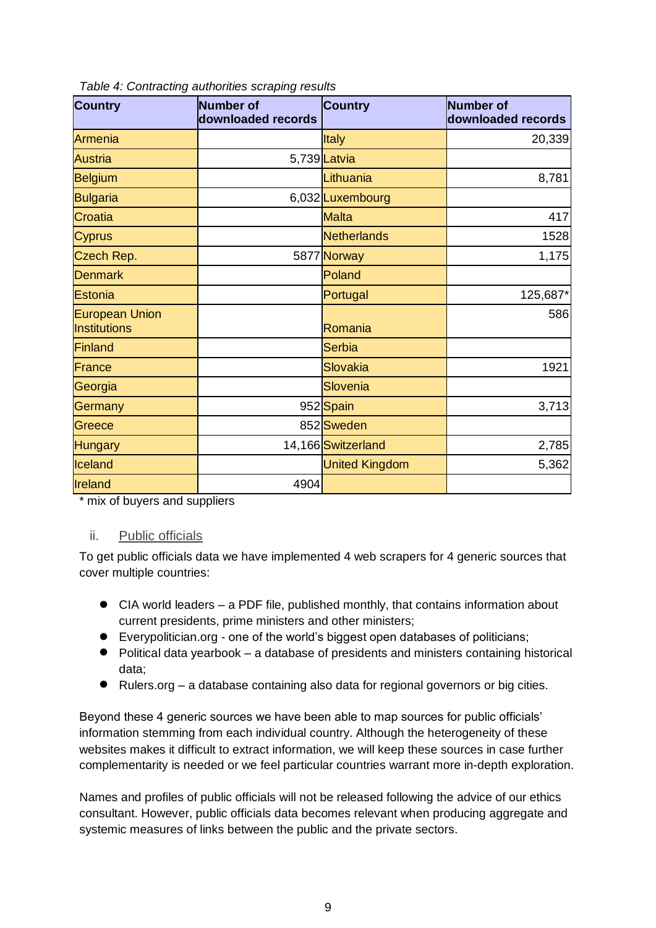| <b>Country</b>                               | <b>Number of</b><br>downloaded records | <b>Country</b>        | Number of<br>downloaded records |
|----------------------------------------------|----------------------------------------|-----------------------|---------------------------------|
| Armenia                                      |                                        | <b>Italy</b>          | 20,339                          |
| <b>Austria</b>                               |                                        | 5,739 Latvia          |                                 |
| <b>Belgium</b>                               |                                        | Lithuania             | 8,781                           |
| <b>Bulgaria</b>                              |                                        | 6,032Luxembourg       |                                 |
| Croatia                                      |                                        | <b>Malta</b>          | 417                             |
| <b>Cyprus</b>                                |                                        | Netherlands           | 1528                            |
| Czech Rep.                                   |                                        | 5877 Norway           | 1,175                           |
| <b>Denmark</b>                               |                                        | Poland                |                                 |
| <b>Estonia</b>                               |                                        | Portugal              | 125,687*                        |
| <b>European Union</b><br><b>Institutions</b> |                                        | Romania               | 586                             |
| <b>Finland</b>                               |                                        | Serbia                |                                 |
| <b>France</b>                                |                                        | Slovakia              | 1921                            |
| Georgia                                      |                                        | Slovenia              |                                 |
| Germany                                      |                                        | 952 Spain             | 3,713                           |
| Greece                                       |                                        | 852 Sweden            |                                 |
| <b>Hungary</b>                               |                                        | 14,166 Switzerland    | 2,785                           |
| Iceland                                      |                                        | <b>United Kingdom</b> | 5,362                           |
| Ireland                                      | 4904                                   |                       |                                 |

*Table 4: Contracting authorities scraping results*

\* mix of buyers and suppliers

#### ii. Public officials

To get public officials data we have implemented 4 web scrapers for 4 generic sources that cover multiple countries:

- CIA world leaders a PDF file, published monthly, that contains information about current presidents, prime ministers and other ministers;
- Everypolitician.org one of the world's biggest open databases of politicians;
- Political data yearbook a database of presidents and ministers containing historical data;
- Rulers.org a database containing also data for regional governors or big cities.

Beyond these 4 generic sources we have been able to map sources for public officials' information stemming from each individual country. Although the heterogeneity of these websites makes it difficult to extract information, we will keep these sources in case further complementarity is needed or we feel particular countries warrant more in-depth exploration.

Names and profiles of public officials will not be released following the advice of our ethics consultant. However, public officials data becomes relevant when producing aggregate and systemic measures of links between the public and the private sectors.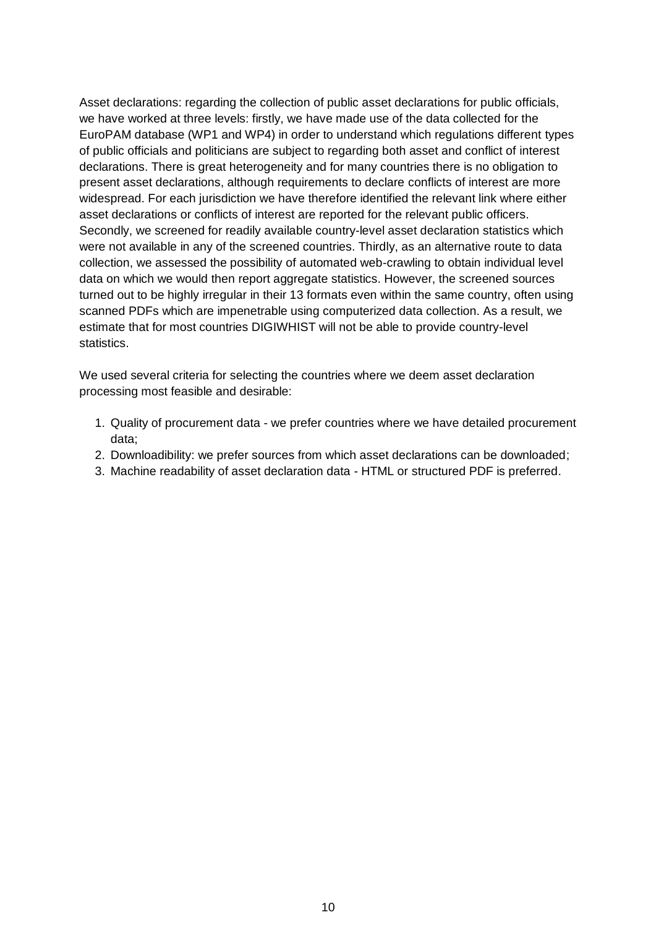Asset declarations: regarding the collection of public asset declarations for public officials, we have worked at three levels: firstly, we have made use of the data collected for the EuroPAM database (WP1 and WP4) in order to understand which regulations different types of public officials and politicians are subject to regarding both asset and conflict of interest declarations. There is great heterogeneity and for many countries there is no obligation to present asset declarations, although requirements to declare conflicts of interest are more widespread. For each jurisdiction we have therefore identified the relevant link where either asset declarations or conflicts of interest are reported for the relevant public officers. Secondly, we screened for readily available country-level asset declaration statistics which were not available in any of the screened countries. Thirdly, as an alternative route to data collection, we assessed the possibility of automated web-crawling to obtain individual level data on which we would then report aggregate statistics. However, the screened sources turned out to be highly irregular in their 13 formats even within the same country, often using scanned PDFs which are impenetrable using computerized data collection. As a result, we estimate that for most countries DIGIWHIST will not be able to provide country-level statistics.

We used several criteria for selecting the countries where we deem asset declaration processing most feasible and desirable:

- 1. Quality of procurement data we prefer countries where we have detailed procurement data;
- 2. Downloadibility: we prefer sources from which asset declarations can be downloaded;
- 3. Machine readability of asset declaration data HTML or structured PDF is preferred.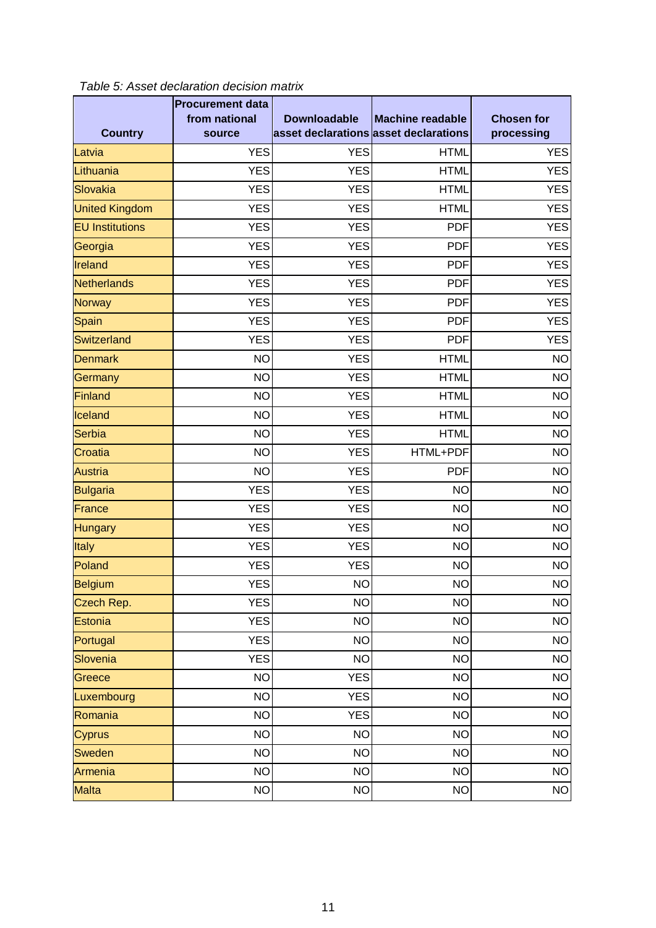|                        | <b>Procurement data</b> |                                       |                         |                   |
|------------------------|-------------------------|---------------------------------------|-------------------------|-------------------|
|                        | from national           | <b>Downloadable</b>                   | <b>Machine readable</b> | <b>Chosen for</b> |
| <b>Country</b>         | source                  | asset declarations asset declarations |                         | processing        |
| Latvia                 | <b>YES</b>              | <b>YES</b>                            | <b>HTML</b>             | <b>YES</b>        |
| Lithuania              | <b>YES</b>              | <b>YES</b>                            | <b>HTML</b>             | <b>YES</b>        |
| Slovakia               | <b>YES</b>              | <b>YES</b>                            | <b>HTML</b>             | <b>YES</b>        |
| <b>United Kingdom</b>  | <b>YES</b>              | <b>YES</b>                            | <b>HTML</b>             | <b>YES</b>        |
| <b>EU</b> Institutions | <b>YES</b>              | <b>YES</b>                            | <b>PDF</b>              | <b>YES</b>        |
| Georgia                | <b>YES</b>              | <b>YES</b>                            | <b>PDF</b>              | <b>YES</b>        |
| Ireland                | <b>YES</b>              | <b>YES</b>                            | <b>PDF</b>              | <b>YES</b>        |
| <b>Netherlands</b>     | <b>YES</b>              | <b>YES</b>                            | <b>PDF</b>              | <b>YES</b>        |
| <b>Norway</b>          | <b>YES</b>              | <b>YES</b>                            | <b>PDF</b>              | <b>YES</b>        |
| Spain                  | <b>YES</b>              | <b>YES</b>                            | <b>PDF</b>              | <b>YES</b>        |
| Switzerland            | <b>YES</b>              | <b>YES</b>                            | <b>PDF</b>              | <b>YES</b>        |
| <b>Denmark</b>         | <b>NO</b>               | <b>YES</b>                            | <b>HTML</b>             | <b>NO</b>         |
| Germany                | <b>NO</b>               | <b>YES</b>                            | <b>HTML</b>             | <b>NO</b>         |
| Finland                | <b>NO</b>               | <b>YES</b>                            | <b>HTML</b>             | <b>NO</b>         |
| Iceland                | <b>NO</b>               | <b>YES</b>                            | <b>HTML</b>             | <b>NO</b>         |
| Serbia                 | <b>NO</b>               | <b>YES</b>                            | <b>HTML</b>             | <b>NO</b>         |
| Croatia                | <b>NO</b>               | <b>YES</b>                            | HTML+PDF                | <b>NO</b>         |
| <b>Austria</b>         | <b>NO</b>               | <b>YES</b>                            | <b>PDF</b>              | <b>NO</b>         |
| <b>Bulgaria</b>        | <b>YES</b>              | <b>YES</b>                            | <b>NO</b>               | <b>NO</b>         |
| <b>France</b>          | <b>YES</b>              | <b>YES</b>                            | <b>NO</b>               | <b>NO</b>         |
| <b>Hungary</b>         | <b>YES</b>              | <b>YES</b>                            | <b>NO</b>               | <b>NO</b>         |
| <b>Italy</b>           | <b>YES</b>              | <b>YES</b>                            | <b>NO</b>               | <b>NO</b>         |
| Poland                 | <b>YES</b>              | <b>YES</b>                            | <b>NO</b>               | <b>NO</b>         |
| <b>Belgium</b>         | <b>YES</b>              | <b>NO</b>                             | <b>NO</b>               | <b>NO</b>         |
| Czech Rep.             | <b>YES</b>              | <b>NO</b>                             | <b>NO</b>               | <b>NO</b>         |
| Estonia                | <b>YES</b>              | <b>NO</b>                             | <b>NO</b>               | <b>NO</b>         |
| Portugal               | <b>YES</b>              | <b>NO</b>                             | <b>NO</b>               | <b>NO</b>         |
| Slovenia               | <b>YES</b>              | <b>NO</b>                             | <b>NO</b>               | <b>NO</b>         |
| Greece                 | <b>NO</b>               | <b>YES</b>                            | <b>NO</b>               | <b>NO</b>         |
| Luxembourg             | <b>NO</b>               | <b>YES</b>                            | <b>NO</b>               | <b>NO</b>         |
| Romania                | <b>NO</b>               | YES                                   | <b>NO</b>               | <b>NO</b>         |
| <b>Cyprus</b>          | <b>NO</b>               | <b>NO</b>                             | <b>NO</b>               | <b>NO</b>         |
| <b>Sweden</b>          | <b>NO</b>               | <b>NO</b>                             | <b>NO</b>               | <b>NO</b>         |
| Armenia                | <b>NO</b>               | <b>NO</b>                             | <b>NO</b>               | <b>NO</b>         |
| <b>Malta</b>           | <b>NO</b>               | <b>NO</b>                             | <b>NO</b>               | <b>NO</b>         |

*Table 5: Asset declaration decision matrix*